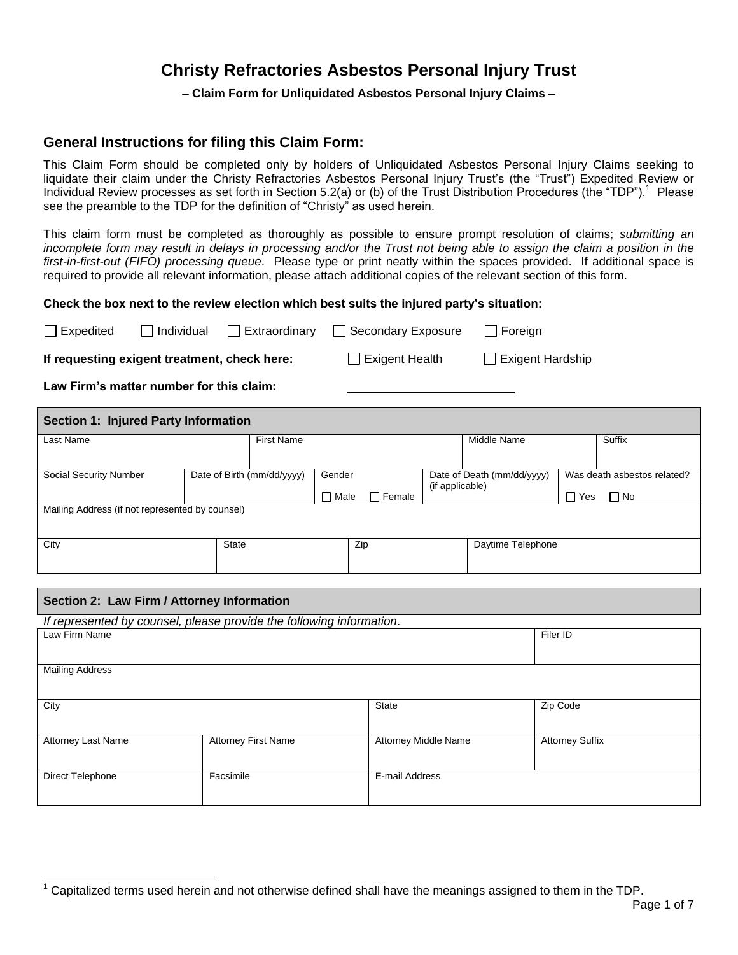# **Christy Refractories Asbestos Personal Injury Trust**

## **– Claim Form for Unliquidated Asbestos Personal Injury Claims –**

## **General Instructions for filing this Claim Form:**

This Claim Form should be completed only by holders of Unliquidated Asbestos Personal Injury Claims seeking to liquidate their claim under the Christy Refractories Asbestos Personal Injury Trust's (the "Trust") Expedited Review or Individual Review processes as set forth in Section 5.2(a) or (b) of the Trust Distribution Procedures (the "TDP").<sup>1</sup> Please see the preamble to the TDP for the definition of "Christy" as used herein.

This claim form must be completed as thoroughly as possible to ensure prompt resolution of claims; *submitting an incomplete form may result in delays in processing and/or the Trust not being able to assign the claim a position in the first-in-first-out (FIFO) processing queue*. Please type or print neatly within the spaces provided. If additional space is required to provide all relevant information, please attach additional copies of the relevant section of this form.

### **Check the box next to the review election which best suits the injured party's situation:**

| $\Box$ Expedited | $\Box$ Individual                            | □ Extraordinary □ Secondary Exposure | $\Box$ Foreign          |
|------------------|----------------------------------------------|--------------------------------------|-------------------------|
|                  | If requesting exigent treatment, check here: | $\Box$ Exigent Health                | $\Box$ Exigent Hardship |

**Law Firm's matter number for this claim:**

| Section 1: Injured Party Information            |                            |                   |                 |                 |                            |            |                             |
|-------------------------------------------------|----------------------------|-------------------|-----------------|-----------------|----------------------------|------------|-----------------------------|
| Last Name                                       |                            | <b>First Name</b> |                 |                 | Middle Name                |            | Suffix                      |
| Social Security Number                          | Date of Birth (mm/dd/yyyy) | Gender            |                 |                 | Date of Death (mm/dd/yyyy) |            | Was death asbestos related? |
|                                                 |                            | П<br>Male         | $\sqcap$ Female | (if applicable) |                            | $\Box$ Yes | $\Box$ No                   |
| Mailing Address (if not represented by counsel) |                            |                   |                 |                 |                            |            |                             |
| City                                            | State                      |                   | Zip             |                 | Daytime Telephone          |            |                             |

## **Section 2: Law Firm / Attorney Information**

| If represented by counsel, please provide the following information. |                            |                      |                        |  |  |  |
|----------------------------------------------------------------------|----------------------------|----------------------|------------------------|--|--|--|
| Law Firm Name                                                        | Filer ID                   |                      |                        |  |  |  |
|                                                                      |                            |                      |                        |  |  |  |
|                                                                      |                            |                      |                        |  |  |  |
| <b>Mailing Address</b>                                               |                            |                      |                        |  |  |  |
|                                                                      |                            |                      |                        |  |  |  |
|                                                                      |                            |                      |                        |  |  |  |
| City                                                                 |                            | <b>State</b>         | Zip Code               |  |  |  |
|                                                                      |                            |                      |                        |  |  |  |
|                                                                      |                            |                      |                        |  |  |  |
| <b>Attorney Last Name</b>                                            | <b>Attorney First Name</b> | Attorney Middle Name | <b>Attorney Suffix</b> |  |  |  |
|                                                                      |                            |                      |                        |  |  |  |
|                                                                      |                            |                      |                        |  |  |  |
| Direct Telephone                                                     | Facsimile                  | E-mail Address       |                        |  |  |  |
|                                                                      |                            |                      |                        |  |  |  |
|                                                                      |                            |                      |                        |  |  |  |

 $\overline{a}$ <sup>1</sup> Capitalized terms used herein and not otherwise defined shall have the meanings assigned to them in the TDP.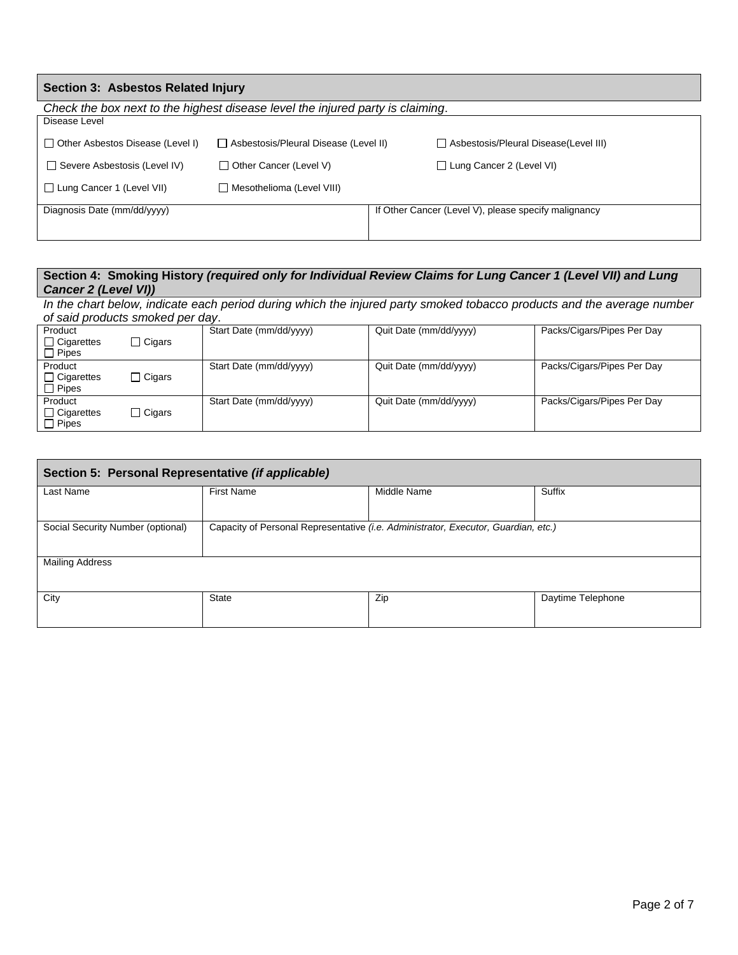| Section 3: Asbestos Related Injury                                             |                                         |  |                                                      |  |  |  |
|--------------------------------------------------------------------------------|-----------------------------------------|--|------------------------------------------------------|--|--|--|
| Check the box next to the highest disease level the injured party is claiming. |                                         |  |                                                      |  |  |  |
| Disease Level                                                                  |                                         |  |                                                      |  |  |  |
| $\Box$ Other Asbestos Disease (Level I)                                        | □ Asbestosis/Pleural Disease (Level II) |  | □ Asbestosis/Pleural Disease(Level III)              |  |  |  |
| Severe Asbestosis (Level IV)                                                   | $\Box$ Other Cancer (Level V)           |  | $\Box$ Lung Cancer 2 (Level VI)                      |  |  |  |
| □ Lung Cancer 1 (Level VII)                                                    | Mesothelioma (Level VIII)               |  |                                                      |  |  |  |
| Diagnosis Date (mm/dd/yyyy)                                                    |                                         |  | If Other Cancer (Level V), please specify malignancy |  |  |  |
|                                                                                |                                         |  |                                                      |  |  |  |

## **Section 4: Smoking History** *(required only for Individual Review Claims for Lung Cancer 1 (Level VII) and Lung Cancer 2 (Level VI))*

*In the chart below, indicate each period during which the injured party smoked tobacco products and the average number of said products smoked per day*.

| Product<br>$\Box$ Cigarettes<br>$\Box$ Pipes | $\Box$ Cigars | Start Date (mm/dd/yyyy) | Quit Date (mm/dd/yyyy) | Packs/Cigars/Pipes Per Day |
|----------------------------------------------|---------------|-------------------------|------------------------|----------------------------|
| Product<br>$\Box$ Cigarettes<br>$\Box$ Pipes | $\Box$ Cigars | Start Date (mm/dd/yyyy) | Quit Date (mm/dd/yyyy) | Packs/Cigars/Pipes Per Day |
| Product<br>$\Box$ Cigarettes<br>$\Box$ Pipes | $\Box$ Cigars | Start Date (mm/dd/yyyy) | Quit Date (mm/dd/yyyy) | Packs/Cigars/Pipes Per Day |

| Section 5: Personal Representative (if applicable) |                                                                                    |             |                   |  |  |  |
|----------------------------------------------------|------------------------------------------------------------------------------------|-------------|-------------------|--|--|--|
| Last Name                                          | <b>First Name</b>                                                                  | Middle Name | Suffix            |  |  |  |
|                                                    |                                                                                    |             |                   |  |  |  |
| Social Security Number (optional)                  | Capacity of Personal Representative (i.e. Administrator, Executor, Guardian, etc.) |             |                   |  |  |  |
| <b>Mailing Address</b>                             |                                                                                    |             |                   |  |  |  |
| City                                               | <b>State</b>                                                                       | Zip         | Daytime Telephone |  |  |  |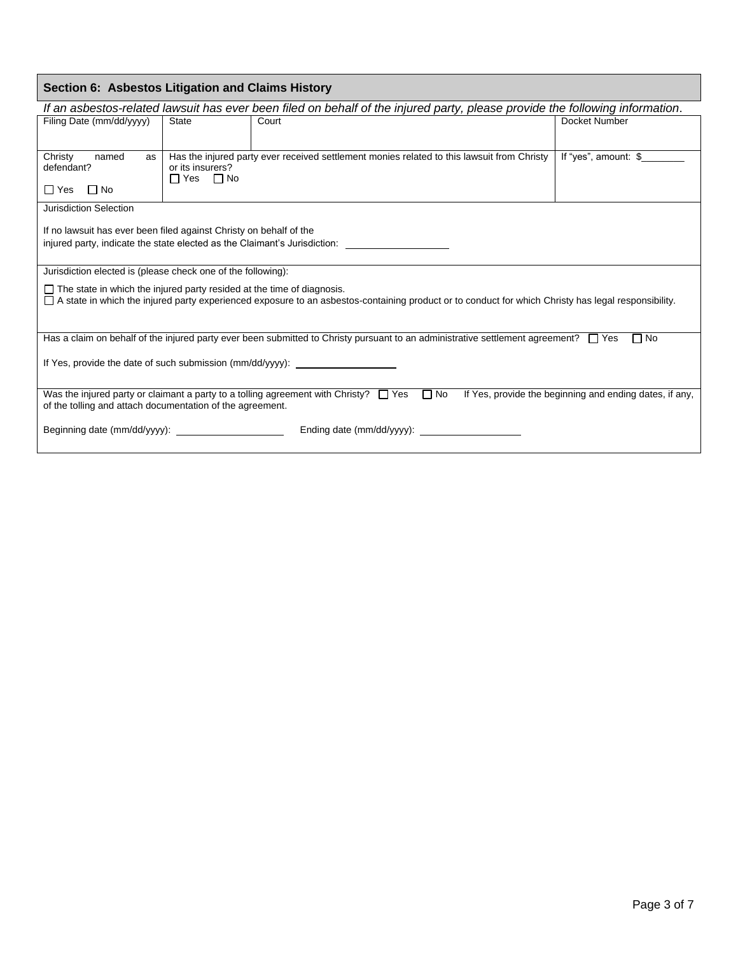| Section 6: Asbestos Litigation and Claims History                                                                                                                                                                                      |                  |                                                                                                                                                                                                                                                                                                                                                                                                                                                                                                                                                                                                                                                                                                                                                               |  |  |
|----------------------------------------------------------------------------------------------------------------------------------------------------------------------------------------------------------------------------------------|------------------|---------------------------------------------------------------------------------------------------------------------------------------------------------------------------------------------------------------------------------------------------------------------------------------------------------------------------------------------------------------------------------------------------------------------------------------------------------------------------------------------------------------------------------------------------------------------------------------------------------------------------------------------------------------------------------------------------------------------------------------------------------------|--|--|
|                                                                                                                                                                                                                                        |                  |                                                                                                                                                                                                                                                                                                                                                                                                                                                                                                                                                                                                                                                                                                                                                               |  |  |
| State                                                                                                                                                                                                                                  | Court            | Docket Number                                                                                                                                                                                                                                                                                                                                                                                                                                                                                                                                                                                                                                                                                                                                                 |  |  |
|                                                                                                                                                                                                                                        |                  |                                                                                                                                                                                                                                                                                                                                                                                                                                                                                                                                                                                                                                                                                                                                                               |  |  |
|                                                                                                                                                                                                                                        |                  |                                                                                                                                                                                                                                                                                                                                                                                                                                                                                                                                                                                                                                                                                                                                                               |  |  |
| $\Box$ Yes $\Box$ No                                                                                                                                                                                                                   |                  |                                                                                                                                                                                                                                                                                                                                                                                                                                                                                                                                                                                                                                                                                                                                                               |  |  |
|                                                                                                                                                                                                                                        |                  |                                                                                                                                                                                                                                                                                                                                                                                                                                                                                                                                                                                                                                                                                                                                                               |  |  |
|                                                                                                                                                                                                                                        |                  |                                                                                                                                                                                                                                                                                                                                                                                                                                                                                                                                                                                                                                                                                                                                                               |  |  |
|                                                                                                                                                                                                                                        |                  |                                                                                                                                                                                                                                                                                                                                                                                                                                                                                                                                                                                                                                                                                                                                                               |  |  |
|                                                                                                                                                                                                                                        |                  |                                                                                                                                                                                                                                                                                                                                                                                                                                                                                                                                                                                                                                                                                                                                                               |  |  |
|                                                                                                                                                                                                                                        |                  |                                                                                                                                                                                                                                                                                                                                                                                                                                                                                                                                                                                                                                                                                                                                                               |  |  |
| $\Box$ The state in which the injured party resided at the time of diagnosis.<br>□ A state in which the injured party experienced exposure to an asbestos-containing product or to conduct for which Christy has legal responsibility. |                  |                                                                                                                                                                                                                                                                                                                                                                                                                                                                                                                                                                                                                                                                                                                                                               |  |  |
|                                                                                                                                                                                                                                        |                  | $\Box$ No                                                                                                                                                                                                                                                                                                                                                                                                                                                                                                                                                                                                                                                                                                                                                     |  |  |
| If Yes, provide the date of such submission (mm/dd/yyyy):                                                                                                                                                                              |                  |                                                                                                                                                                                                                                                                                                                                                                                                                                                                                                                                                                                                                                                                                                                                                               |  |  |
|                                                                                                                                                                                                                                        |                  | If Yes, provide the beginning and ending dates, if any,                                                                                                                                                                                                                                                                                                                                                                                                                                                                                                                                                                                                                                                                                                       |  |  |
| Beginning date (mm/dd/yyyy):                                                                                                                                                                                                           |                  |                                                                                                                                                                                                                                                                                                                                                                                                                                                                                                                                                                                                                                                                                                                                                               |  |  |
|                                                                                                                                                                                                                                        | or its insurers? | If an asbestos-related lawsuit has ever been filed on behalf of the injured party, please provide the following information.<br>Has the injured party ever received settlement monies related to this lawsuit from Christy<br>If no lawsuit has ever been filed against Christy on behalf of the<br>injured party, indicate the state elected as the Claimant's Jurisdiction:<br>Jurisdiction elected is (please check one of the following):<br>Has a claim on behalf of the injured party ever been submitted to Christy pursuant to an administrative settlement agreement? $\Box$ Yes<br>Was the injured party or claimant a party to a tolling agreement with Christy? $\Box$ Yes $\Box$ No<br>of the tolling and attach documentation of the agreement. |  |  |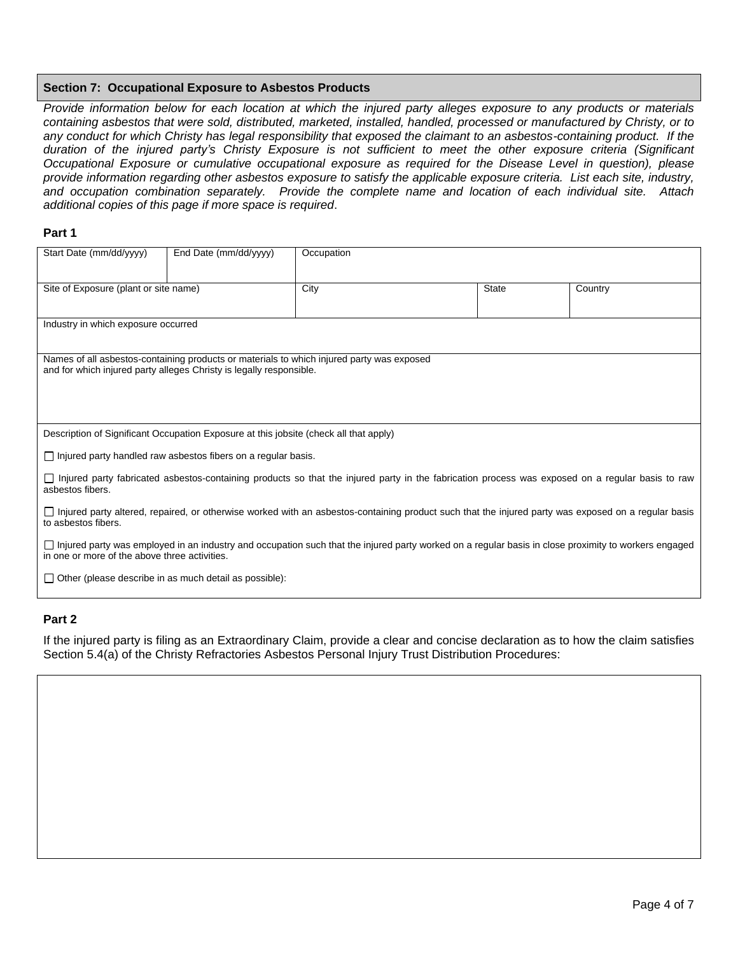#### **Section 7: Occupational Exposure to Asbestos Products**

*Provide information below for each location at which the injured party alleges exposure to any products or materials containing asbestos that were sold, distributed, marketed, installed, handled, processed or manufactured by Christy, or to any conduct for which Christy has legal responsibility that exposed the claimant to an asbestos-containing product. If the duration of the injured party's Christy Exposure is not sufficient to meet the other exposure criteria (Significant Occupational Exposure or cumulative occupational exposure as required for the Disease Level in question), please provide information regarding other asbestos exposure to satisfy the applicable exposure criteria. List each site, industry, and occupation combination separately. Provide the complete name and location of each individual site. Attach additional copies of this page if more space is required*.

#### **Part 1**

| Start Date (mm/dd/yyyy)                                                                                                                                                                                      | End Date (mm/dd/yyyy)                                                                                                                              | Occupation |  |              |         |  |
|--------------------------------------------------------------------------------------------------------------------------------------------------------------------------------------------------------------|----------------------------------------------------------------------------------------------------------------------------------------------------|------------|--|--------------|---------|--|
| Site of Exposure (plant or site name)                                                                                                                                                                        |                                                                                                                                                    | City       |  | <b>State</b> | Country |  |
| Industry in which exposure occurred                                                                                                                                                                          |                                                                                                                                                    |            |  |              |         |  |
| Names of all asbestos-containing products or materials to which injured party was exposed<br>and for which injured party alleges Christy is legally responsible.                                             |                                                                                                                                                    |            |  |              |         |  |
|                                                                                                                                                                                                              | Description of Significant Occupation Exposure at this jobsite (check all that apply)                                                              |            |  |              |         |  |
|                                                                                                                                                                                                              | $\Box$ Injured party handled raw asbestos fibers on a regular basis.                                                                               |            |  |              |         |  |
| asbestos fibers.                                                                                                                                                                                             | □ Injured party fabricated asbestos-containing products so that the injured party in the fabrication process was exposed on a regular basis to raw |            |  |              |         |  |
| □ Injured party altered, repaired, or otherwise worked with an asbestos-containing product such that the injured party was exposed on a regular basis<br>to asbestos fibers.                                 |                                                                                                                                                    |            |  |              |         |  |
| $\Box$ Injured party was employed in an industry and occupation such that the injured party worked on a regular basis in close proximity to workers engaged<br>in one or more of the above three activities. |                                                                                                                                                    |            |  |              |         |  |
| $\Box$ Other (please describe in as much detail as possible):                                                                                                                                                |                                                                                                                                                    |            |  |              |         |  |

### **Part 2**

If the injured party is filing as an Extraordinary Claim, provide a clear and concise declaration as to how the claim satisfies Section 5.4(a) of the Christy Refractories Asbestos Personal Injury Trust Distribution Procedures: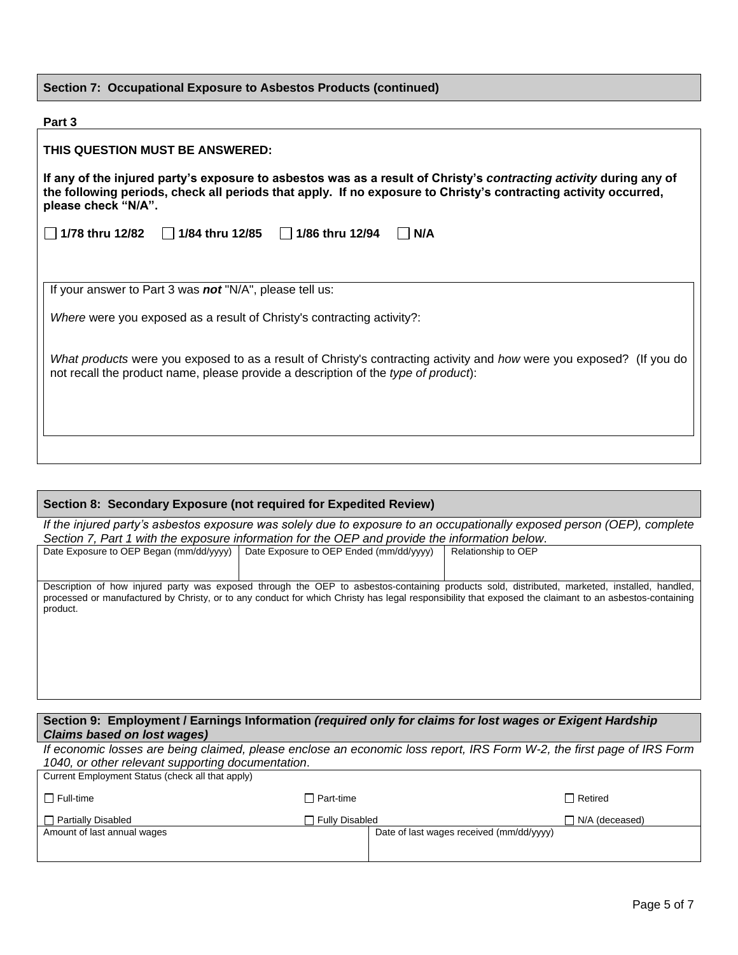|  |  | Section 7: Occupational Exposure to Asbestos Products (continued) |  |  |  |
|--|--|-------------------------------------------------------------------|--|--|--|
|--|--|-------------------------------------------------------------------|--|--|--|

| Part 3                                                                                                                                                                                                                                                       |
|--------------------------------------------------------------------------------------------------------------------------------------------------------------------------------------------------------------------------------------------------------------|
| THIS QUESTION MUST BE ANSWERED:                                                                                                                                                                                                                              |
| If any of the injured party's exposure to asbestos was as a result of Christy's contracting activity during any of<br>the following periods, check all periods that apply. If no exposure to Christy's contracting activity occurred,<br>please check "N/A". |
| $\Box$ 1/84 thru 12/85 $\Box$ 1/86 thru 12/94<br>1/78 thru 12/82<br>N/A<br>$\mathbf{1}$                                                                                                                                                                      |
|                                                                                                                                                                                                                                                              |
| If your answer to Part 3 was not "N/A", please tell us:                                                                                                                                                                                                      |
| Where were you exposed as a result of Christy's contracting activity?:                                                                                                                                                                                       |
| What products were you exposed to as a result of Christy's contracting activity and how were you exposed? (If you do<br>not recall the product name, please provide a description of the type of product):                                                   |
|                                                                                                                                                                                                                                                              |
|                                                                                                                                                                                                                                                              |

### **Section 8: Secondary Exposure (not required for Expedited Review)**

*If the injured party's asbestos exposure was solely due to exposure to an occupationally exposed person (OEP), complete Section 7, Part 1 with the exposure information for the OEP and provide the information below*.

| Date Exposure to OEP Began (mm/dd/yyyy) | Date Exposure to OEP Ended (mm/dd/yyyy) | Relationship to OEP                                                                                                                                                                                                                                                                                     |
|-----------------------------------------|-----------------------------------------|---------------------------------------------------------------------------------------------------------------------------------------------------------------------------------------------------------------------------------------------------------------------------------------------------------|
| product.                                |                                         | Description of how injured party was exposed through the OEP to asbestos-containing products sold, distributed, marketed, installed, handled,<br>processed or manufactured by Christy, or to any conduct for which Christy has legal responsibility that exposed the claimant to an asbestos-containing |

#### **Section 9: Employment / Earnings Information** *(required only for claims for lost wages or Exigent Hardship Claims based on lost wages)*

*If economic losses are being claimed, please enclose an economic loss report, IRS Form W-2, the first page of IRS Form 1040, or other relevant supporting documentation*. Current Employment Status (check all that apply)

| <b>Carlott Employment Oldido</b> (chook all that apply) |                  |                                          |                       |
|---------------------------------------------------------|------------------|------------------------------------------|-----------------------|
| $\Box$ Full-time                                        | $\Box$ Part-time |                                          | $\Box$ Retired        |
| $\Box$ Partially Disabled                               | □ Fully Disabled |                                          | $\Box$ N/A (deceased) |
| Amount of last annual wages                             |                  | Date of last wages received (mm/dd/yyyy) |                       |
|                                                         |                  |                                          |                       |
|                                                         |                  |                                          |                       |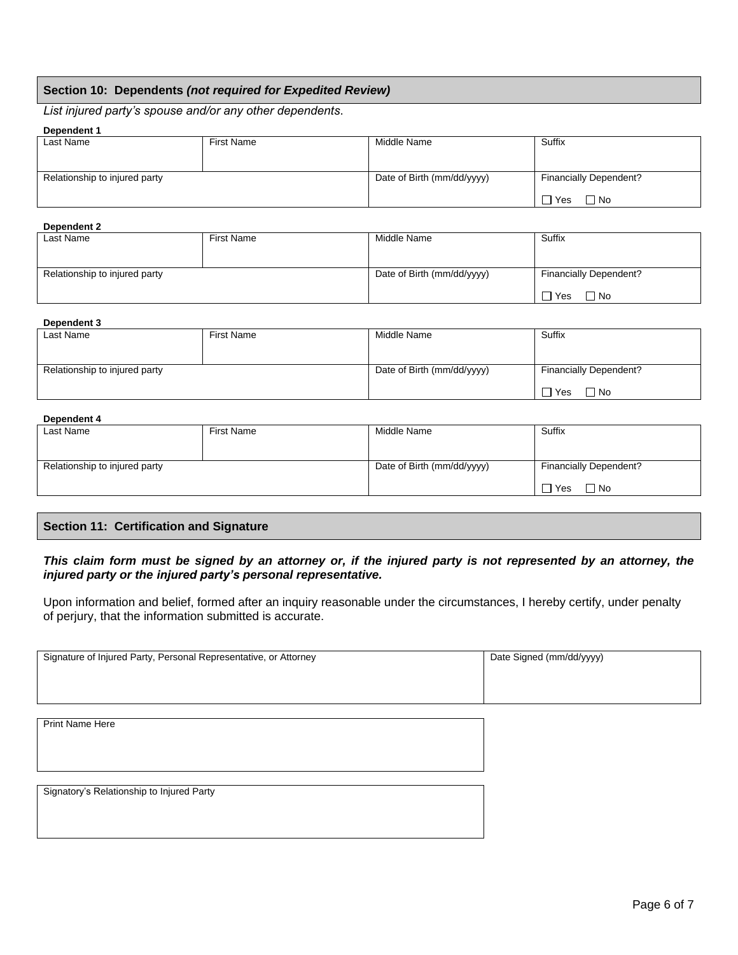### **Section 10: Dependents** *(not required for Expedited Review)*

*List injured party's spouse and/or any other dependents*.

#### **Dependent 1**

| Last Name                     | First Name | Middle Name                | Suffix                        |
|-------------------------------|------------|----------------------------|-------------------------------|
|                               |            |                            |                               |
|                               |            |                            |                               |
| Relationship to injured party |            | Date of Birth (mm/dd/yyyy) | <b>Financially Dependent?</b> |
|                               |            |                            |                               |
|                               |            |                            | ヿ Yes<br>, 1 No               |

#### **Dependent 2**

| -------------                 |                   |                            |                        |
|-------------------------------|-------------------|----------------------------|------------------------|
| Last Name                     | <b>First Name</b> | Middle Name                | Suffix                 |
|                               |                   |                            |                        |
|                               |                   |                            |                        |
|                               |                   |                            |                        |
| Relationship to injured party |                   | Date of Birth (mm/dd/yyyy) | Financially Dependent? |
|                               |                   |                            |                        |
|                               |                   |                            | $\neg$ Yes             |
|                               |                   |                            | $\Box$ No              |

#### **Dependent 3**

| ----------                    |            |                            |                               |
|-------------------------------|------------|----------------------------|-------------------------------|
| Last Name                     | First Name | Middle Name                | Suffix                        |
|                               |            |                            |                               |
| Relationship to injured party |            | Date of Birth (mm/dd/yyyy) | <b>Financially Dependent?</b> |
|                               |            |                            | $\Box$ Yes<br>$\Box$ No       |

### **Dependent 4**

| Last Name                     | First Name | Middle Name                | Suffix                        |
|-------------------------------|------------|----------------------------|-------------------------------|
|                               |            |                            |                               |
| Relationship to injured party |            | Date of Birth (mm/dd/yyyy) | <b>Financially Dependent?</b> |
|                               |            |                            | $\Box$ Yes<br>$\Box$ No       |

#### **Section 11: Certification and Signature**

#### *This claim form must be signed by an attorney or, if the injured party is not represented by an attorney, the injured party or the injured party's personal representative.*

Upon information and belief, formed after an inquiry reasonable under the circumstances, I hereby certify, under penalty of perjury, that the information submitted is accurate.

| Signature of Injured Party, Personal Representative, or Attorney | Date Signed (mm/dd/yyyy) |
|------------------------------------------------------------------|--------------------------|
|                                                                  |                          |
|                                                                  |                          |
|                                                                  |                          |
|                                                                  |                          |
|                                                                  |                          |
|                                                                  |                          |
|                                                                  |                          |
|                                                                  |                          |
| <b>Print Name Here</b>                                           |                          |
|                                                                  |                          |
|                                                                  |                          |
|                                                                  |                          |
|                                                                  |                          |
|                                                                  |                          |
|                                                                  |                          |
|                                                                  |                          |
|                                                                  |                          |
| Signatory's Relationship to Injured Party                        |                          |
|                                                                  |                          |
|                                                                  |                          |
|                                                                  |                          |